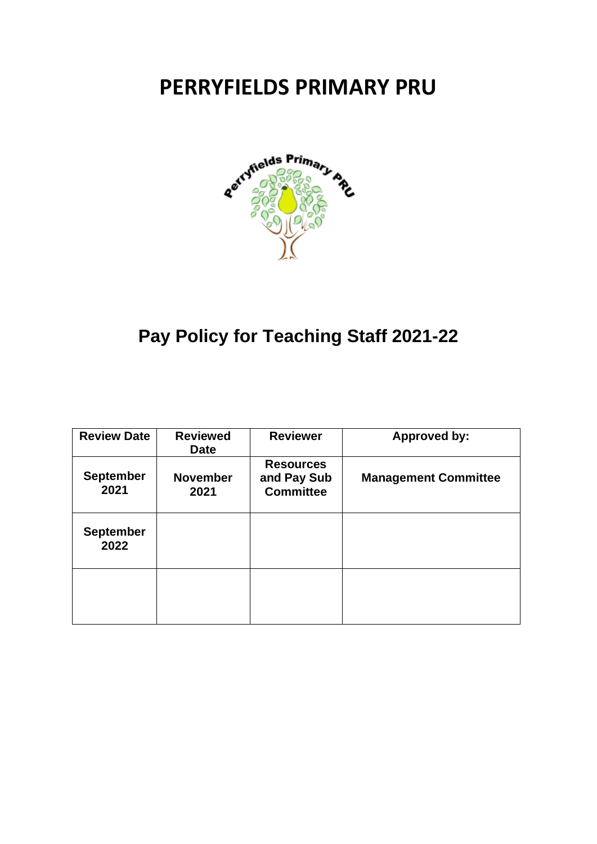# **PERRYFIELDS PRIMARY PRU**



# **Pay Policy for Teaching Staff 2021-22**

| <b>Review Date</b>       | <b>Reviewed</b><br><b>Date</b> | <b>Reviewer</b>                                     | <b>Approved by:</b>         |
|--------------------------|--------------------------------|-----------------------------------------------------|-----------------------------|
| <b>September</b><br>2021 | <b>November</b><br>2021        | <b>Resources</b><br>and Pay Sub<br><b>Committee</b> | <b>Management Committee</b> |
| <b>September</b><br>2022 |                                |                                                     |                             |
|                          |                                |                                                     |                             |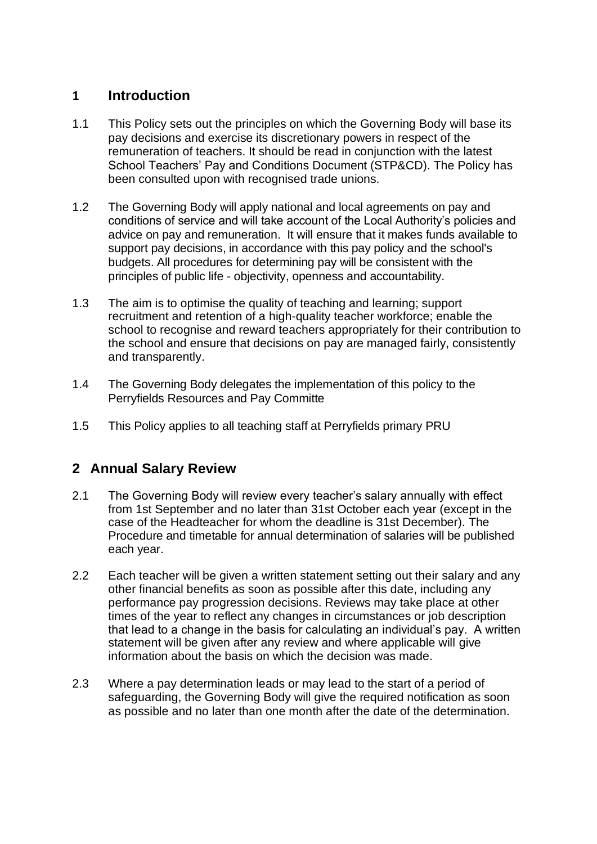# **1 Introduction**

- 1.1 This Policy sets out the principles on which the Governing Body will base its pay decisions and exercise its discretionary powers in respect of the remuneration of teachers. It should be read in conjunction with the latest School Teachers' Pay and Conditions Document (STP&CD). The Policy has been consulted upon with recognised trade unions.
- 1.2 The Governing Body will apply national and local agreements on pay and conditions of service and will take account of the Local Authority's policies and advice on pay and remuneration. It will ensure that it makes funds available to support pay decisions, in accordance with this pay policy and the school's budgets. All procedures for determining pay will be consistent with the principles of public life - objectivity, openness and accountability.
- 1.3 The aim is to optimise the quality of teaching and learning; support recruitment and retention of a high-quality teacher workforce; enable the school to recognise and reward teachers appropriately for their contribution to the school and ensure that decisions on pay are managed fairly, consistently and transparently.
- 1.4 The Governing Body delegates the implementation of this policy to the Perryfields Resources and Pay Committe
- 1.5 This Policy applies to all teaching staff at Perryfields primary PRU

# **2 Annual Salary Review**

- 2.1 The Governing Body will review every teacher's salary annually with effect from 1st September and no later than 31st October each year (except in the case of the Headteacher for whom the deadline is 31st December). The Procedure and timetable for annual determination of salaries will be published each year.
- 2.2 Each teacher will be given a written statement setting out their salary and any other financial benefits as soon as possible after this date, including any performance pay progression decisions. Reviews may take place at other times of the year to reflect any changes in circumstances or job description that lead to a change in the basis for calculating an individual's pay. A written statement will be given after any review and where applicable will give information about the basis on which the decision was made.
- 2.3 Where a pay determination leads or may lead to the start of a period of safeguarding, the Governing Body will give the required notification as soon as possible and no later than one month after the date of the determination.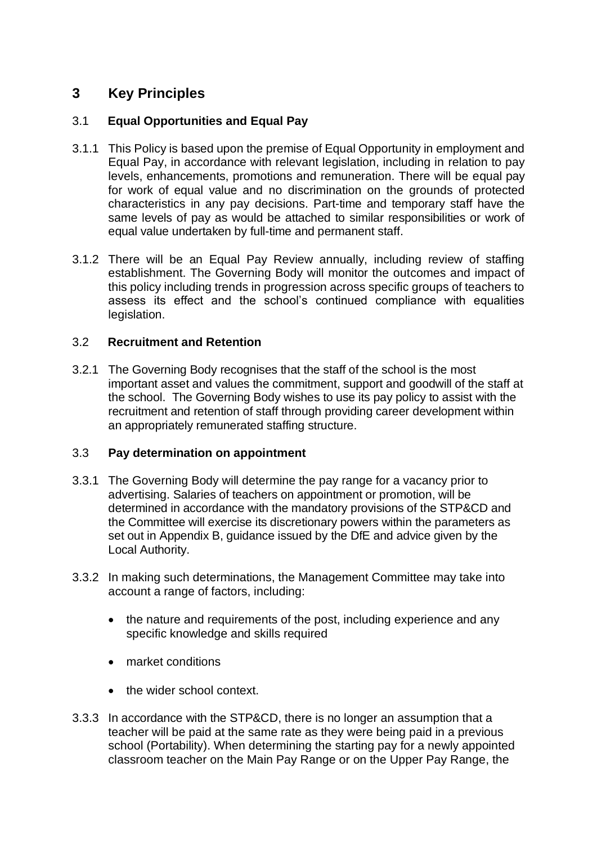# **3 Key Principles**

## 3.1 **Equal Opportunities and Equal Pay**

- 3.1.1 This Policy is based upon the premise of Equal Opportunity in employment and Equal Pay, in accordance with relevant legislation, including in relation to pay levels, enhancements, promotions and remuneration. There will be equal pay for work of equal value and no discrimination on the grounds of protected characteristics in any pay decisions. Part-time and temporary staff have the same levels of pay as would be attached to similar responsibilities or work of equal value undertaken by full-time and permanent staff.
- 3.1.2 There will be an Equal Pay Review annually, including review of staffing establishment. The Governing Body will monitor the outcomes and impact of this policy including trends in progression across specific groups of teachers to assess its effect and the school's continued compliance with equalities legislation.

## 3.2 **Recruitment and Retention**

3.2.1 The Governing Body recognises that the staff of the school is the most important asset and values the commitment, support and goodwill of the staff at the school. The Governing Body wishes to use its pay policy to assist with the recruitment and retention of staff through providing career development within an appropriately remunerated staffing structure.

## 3.3 **Pay determination on appointment**

- 3.3.1 The Governing Body will determine the pay range for a vacancy prior to advertising. Salaries of teachers on appointment or promotion, will be determined in accordance with the mandatory provisions of the STP&CD and the Committee will exercise its discretionary powers within the parameters as set out in Appendix B, guidance issued by the DfE and advice given by the Local Authority.
- 3.3.2 In making such determinations, the Management Committee may take into account a range of factors, including:
	- the nature and requirements of the post, including experience and any specific knowledge and skills required
	- market conditions
	- the wider school context.
- 3.3.3 In accordance with the STP&CD, there is no longer an assumption that a teacher will be paid at the same rate as they were being paid in a previous school (Portability). When determining the starting pay for a newly appointed classroom teacher on the Main Pay Range or on the Upper Pay Range, the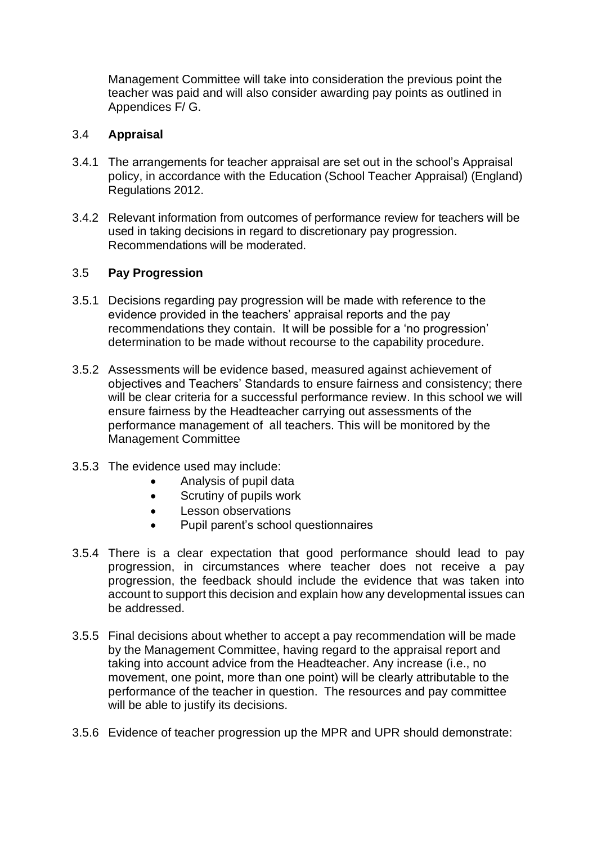Management Committee will take into consideration the previous point the teacher was paid and will also consider awarding pay points as outlined in Appendices F/ G.

#### 3.4 **Appraisal**

- 3.4.1 The arrangements for teacher appraisal are set out in the school's Appraisal policy, in accordance with the Education (School Teacher Appraisal) (England) Regulations 2012.
- 3.4.2 Relevant information from outcomes of performance review for teachers will be used in taking decisions in regard to discretionary pay progression. Recommendations will be moderated.

#### 3.5 **Pay Progression**

- 3.5.1 Decisions regarding pay progression will be made with reference to the evidence provided in the teachers' appraisal reports and the pay recommendations they contain. It will be possible for a 'no progression' determination to be made without recourse to the capability procedure.
- 3.5.2 Assessments will be evidence based, measured against achievement of objectives and Teachers' Standards to ensure fairness and consistency; there will be clear criteria for a successful performance review. In this school we will ensure fairness by the Headteacher carrying out assessments of the performance management of all teachers. This will be monitored by the Management Committee
- 3.5.3 The evidence used may include:
	- Analysis of pupil data
	- Scrutiny of pupils work
	- Lesson observations
	- Pupil parent's school questionnaires
- 3.5.4 There is a clear expectation that good performance should lead to pay progression, in circumstances where teacher does not receive a pay progression, the feedback should include the evidence that was taken into account to support this decision and explain how any developmental issues can be addressed.
- 3.5.5 Final decisions about whether to accept a pay recommendation will be made by the Management Committee, having regard to the appraisal report and taking into account advice from the Headteacher. Any increase (i.e., no movement, one point, more than one point) will be clearly attributable to the performance of the teacher in question. The resources and pay committee will be able to justify its decisions.
- 3.5.6 Evidence of teacher progression up the MPR and UPR should demonstrate: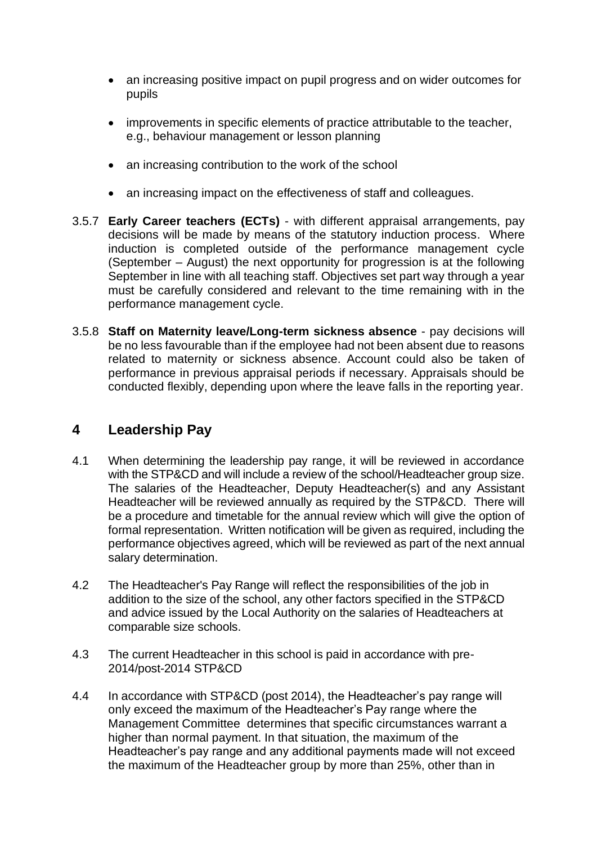- an increasing positive impact on pupil progress and on wider outcomes for pupils
- improvements in specific elements of practice attributable to the teacher, e.g., behaviour management or lesson planning
- an increasing contribution to the work of the school
- an increasing impact on the effectiveness of staff and colleagues.
- 3.5.7 **Early Career teachers (ECTs)** with different appraisal arrangements, pay decisions will be made by means of the statutory induction process. Where induction is completed outside of the performance management cycle (September – August) the next opportunity for progression is at the following September in line with all teaching staff. Objectives set part way through a year must be carefully considered and relevant to the time remaining with in the performance management cycle.
- 3.5.8 **Staff on Maternity leave/Long-term sickness absence**  pay decisions will be no less favourable than if the employee had not been absent due to reasons related to maternity or sickness absence. Account could also be taken of performance in previous appraisal periods if necessary. Appraisals should be conducted flexibly, depending upon where the leave falls in the reporting year.

## **4 Leadership Pay**

- 4.1 When determining the leadership pay range, it will be reviewed in accordance with the STP&CD and will include a review of the school/Headteacher group size. The salaries of the Headteacher, Deputy Headteacher(s) and any Assistant Headteacher will be reviewed annually as required by the STP&CD. There will be a procedure and timetable for the annual review which will give the option of formal representation. Written notification will be given as required, including the performance objectives agreed, which will be reviewed as part of the next annual salary determination.
- 4.2 The Headteacher's Pay Range will reflect the responsibilities of the job in addition to the size of the school, any other factors specified in the STP&CD and advice issued by the Local Authority on the salaries of Headteachers at comparable size schools.
- 4.3 The current Headteacher in this school is paid in accordance with pre-2014/post-2014 STP&CD
- 4.4 In accordance with STP&CD (post 2014), the Headteacher's pay range will only exceed the maximum of the Headteacher's Pay range where the Management Committee determines that specific circumstances warrant a higher than normal payment. In that situation, the maximum of the Headteacher's pay range and any additional payments made will not exceed the maximum of the Headteacher group by more than 25%, other than in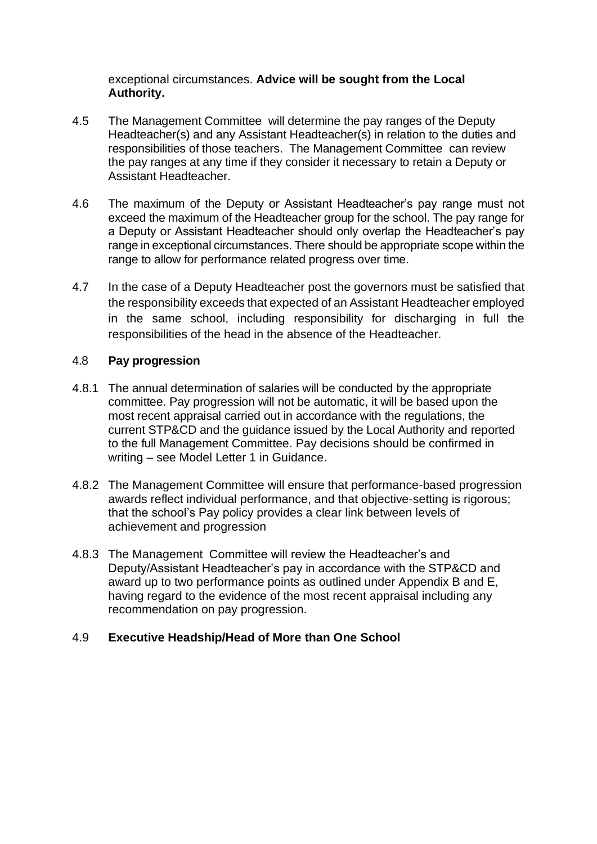## exceptional circumstances. **Advice will be sought from the Local Authority.**

- 4.5 The Management Committee will determine the pay ranges of the Deputy Headteacher(s) and any Assistant Headteacher(s) in relation to the duties and responsibilities of those teachers. The Management Committee can review the pay ranges at any time if they consider it necessary to retain a Deputy or Assistant Headteacher.
- 4.6 The maximum of the Deputy or Assistant Headteacher's pay range must not exceed the maximum of the Headteacher group for the school. The pay range for a Deputy or Assistant Headteacher should only overlap the Headteacher's pay range in exceptional circumstances. There should be appropriate scope within the range to allow for performance related progress over time.
- 4.7 In the case of a Deputy Headteacher post the governors must be satisfied that the responsibility exceeds that expected of an Assistant Headteacher employed in the same school, including responsibility for discharging in full the responsibilities of the head in the absence of the Headteacher.

## 4.8 **Pay progression**

- 4.8.1 The annual determination of salaries will be conducted by the appropriate committee. Pay progression will not be automatic, it will be based upon the most recent appraisal carried out in accordance with the regulations, the current STP&CD and the guidance issued by the Local Authority and reported to the full Management Committee. Pay decisions should be confirmed in writing – see Model Letter 1 in Guidance.
- 4.8.2 The Management Committee will ensure that performance-based progression awards reflect individual performance, and that objective-setting is rigorous; that the school's Pay policy provides a clear link between levels of achievement and progression
- 4.8.3 The Management Committee will review the Headteacher's and Deputy/Assistant Headteacher's pay in accordance with the STP&CD and award up to two performance points as outlined under Appendix B and E, having regard to the evidence of the most recent appraisal including any recommendation on pay progression.

## 4.9 **Executive Headship/Head of More than One School**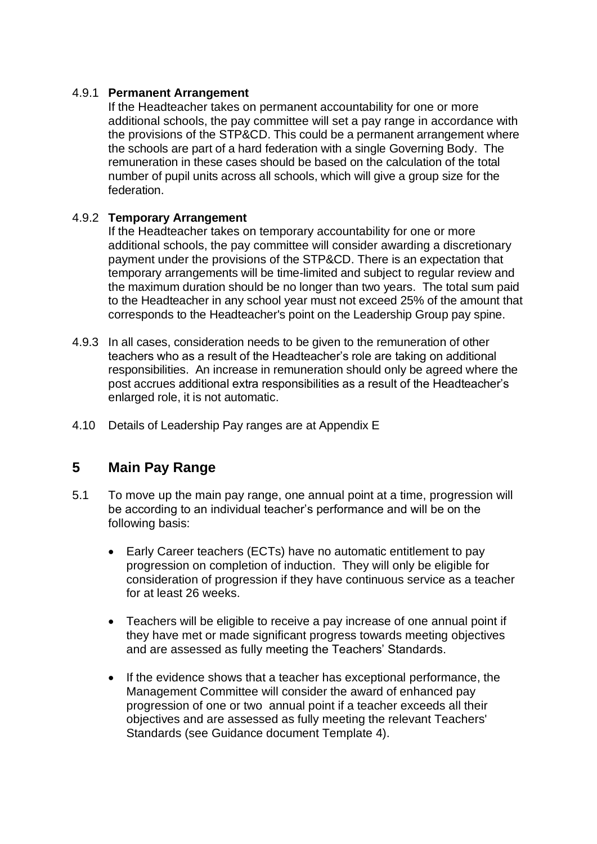## 4.9.1 **Permanent Arrangement**

If the Headteacher takes on permanent accountability for one or more additional schools, the pay committee will set a pay range in accordance with the provisions of the STP&CD. This could be a permanent arrangement where the schools are part of a hard federation with a single Governing Body. The remuneration in these cases should be based on the calculation of the total number of pupil units across all schools, which will give a group size for the federation.

## 4.9.2 **Temporary Arrangement**

If the Headteacher takes on temporary accountability for one or more additional schools, the pay committee will consider awarding a discretionary payment under the provisions of the STP&CD. There is an expectation that temporary arrangements will be time-limited and subject to regular review and the maximum duration should be no longer than two years. The total sum paid to the Headteacher in any school year must not exceed 25% of the amount that corresponds to the Headteacher's point on the Leadership Group pay spine.

- 4.9.3 In all cases, consideration needs to be given to the remuneration of other teachers who as a result of the Headteacher's role are taking on additional responsibilities. An increase in remuneration should only be agreed where the post accrues additional extra responsibilities as a result of the Headteacher's enlarged role, it is not automatic.
- 4.10 Details of Leadership Pay ranges are at Appendix E

## **5 Main Pay Range**

- 5.1 To move up the main pay range, one annual point at a time, progression will be according to an individual teacher's performance and will be on the following basis:
	- Early Career teachers (ECTs) have no automatic entitlement to pay progression on completion of induction. They will only be eligible for consideration of progression if they have continuous service as a teacher for at least 26 weeks.
	- Teachers will be eligible to receive a pay increase of one annual point if they have met or made significant progress towards meeting objectives and are assessed as fully meeting the Teachers' Standards.
	- If the evidence shows that a teacher has exceptional performance, the Management Committee will consider the award of enhanced pay progression of one or two annual point if a teacher exceeds all their objectives and are assessed as fully meeting the relevant Teachers' Standards (see Guidance document Template 4).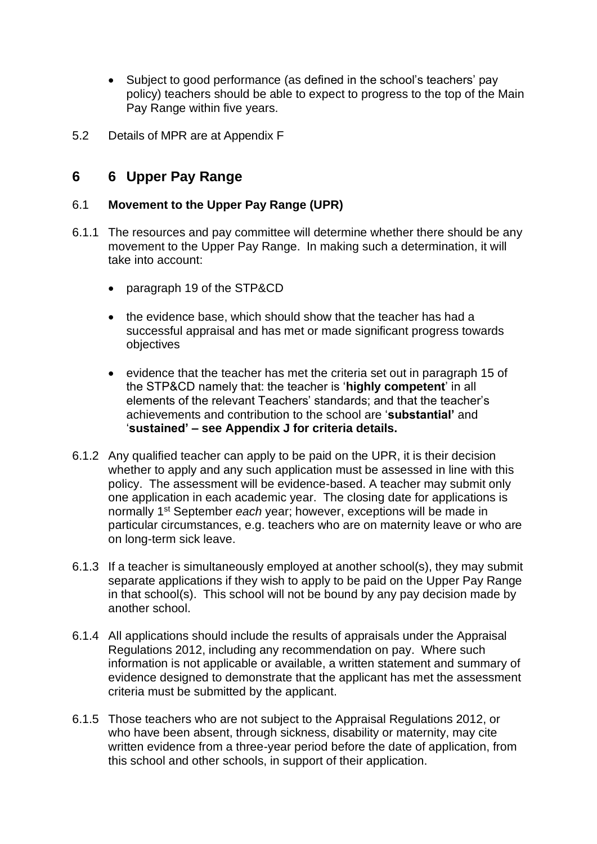- Subject to good performance (as defined in the school's teachers' pay policy) teachers should be able to expect to progress to the top of the Main Pay Range within five years.
- 5.2 Details of MPR are at Appendix F

# **6 6 Upper Pay Range**

## 6.1 **Movement to the Upper Pay Range (UPR)**

- 6.1.1 The resources and pay committee will determine whether there should be any movement to the Upper Pay Range. In making such a determination, it will take into account:
	- paragraph 19 of the STP&CD
	- the evidence base, which should show that the teacher has had a successful appraisal and has met or made significant progress towards objectives
	- evidence that the teacher has met the criteria set out in paragraph 15 of the STP&CD namely that: the teacher is '**highly competent**' in all elements of the relevant Teachers' standards; and that the teacher's achievements and contribution to the school are '**substantial'** and '**sustained' – see Appendix J for criteria details.**
- 6.1.2 Any qualified teacher can apply to be paid on the UPR, it is their decision whether to apply and any such application must be assessed in line with this policy. The assessment will be evidence-based. A teacher may submit only one application in each academic year. The closing date for applications is normally 1 st September *each* year; however, exceptions will be made in particular circumstances, e.g. teachers who are on maternity leave or who are on long-term sick leave.
- 6.1.3 If a teacher is simultaneously employed at another school(s), they may submit separate applications if they wish to apply to be paid on the Upper Pay Range in that school(s). This school will not be bound by any pay decision made by another school.
- 6.1.4 All applications should include the results of appraisals under the Appraisal Regulations 2012, including any recommendation on pay. Where such information is not applicable or available, a written statement and summary of evidence designed to demonstrate that the applicant has met the assessment criteria must be submitted by the applicant.
- 6.1.5 Those teachers who are not subject to the Appraisal Regulations 2012, or who have been absent, through sickness, disability or maternity, may cite written evidence from a three-year period before the date of application, from this school and other schools, in support of their application.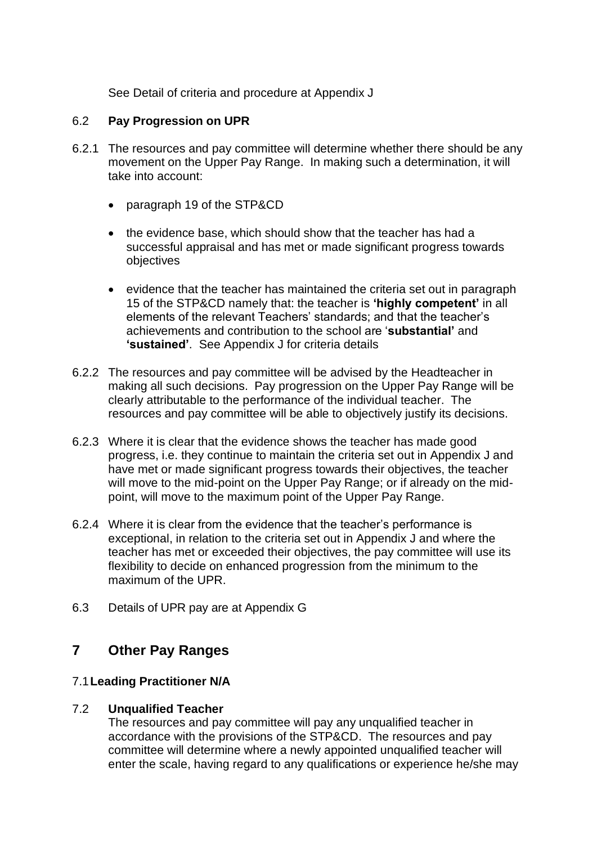See Detail of criteria and procedure at Appendix J

## 6.2 **Pay Progression on UPR**

- 6.2.1 The resources and pay committee will determine whether there should be any movement on the Upper Pay Range. In making such a determination, it will take into account:
	- paragraph 19 of the STP&CD
	- the evidence base, which should show that the teacher has had a successful appraisal and has met or made significant progress towards objectives
	- evidence that the teacher has maintained the criteria set out in paragraph 15 of the STP&CD namely that: the teacher is **'highly competent'** in all elements of the relevant Teachers' standards; and that the teacher's achievements and contribution to the school are '**substantial'** and **'sustained'**. See Appendix J for criteria details
- 6.2.2 The resources and pay committee will be advised by the Headteacher in making all such decisions. Pay progression on the Upper Pay Range will be clearly attributable to the performance of the individual teacher. The resources and pay committee will be able to objectively justify its decisions.
- 6.2.3 Where it is clear that the evidence shows the teacher has made good progress, i.e. they continue to maintain the criteria set out in Appendix J and have met or made significant progress towards their objectives, the teacher will move to the mid-point on the Upper Pay Range; or if already on the midpoint, will move to the maximum point of the Upper Pay Range.
- 6.2.4 Where it is clear from the evidence that the teacher's performance is exceptional, in relation to the criteria set out in Appendix J and where the teacher has met or exceeded their objectives, the pay committee will use its flexibility to decide on enhanced progression from the minimum to the maximum of the UPR.
- 6.3 Details of UPR pay are at Appendix G

## **7 Other Pay Ranges**

## 7.1**Leading Practitioner N/A**

## 7.2 **Unqualified Teacher**

The resources and pay committee will pay any unqualified teacher in accordance with the provisions of the STP&CD. The resources and pay committee will determine where a newly appointed unqualified teacher will enter the scale, having regard to any qualifications or experience he/she may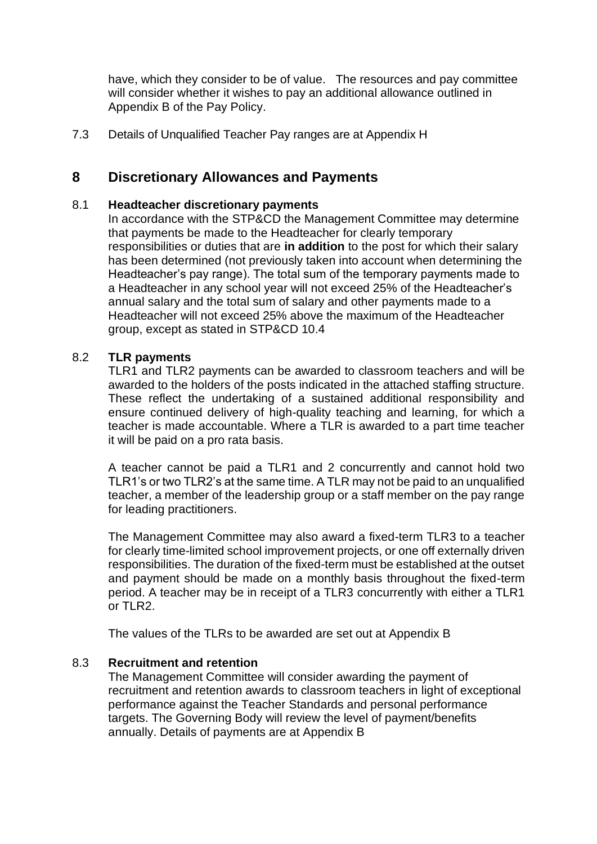have, which they consider to be of value. The resources and pay committee will consider whether it wishes to pay an additional allowance outlined in Appendix B of the Pay Policy.

7.3 Details of Unqualified Teacher Pay ranges are at Appendix H

## **8 Discretionary Allowances and Payments**

#### 8.1 **Headteacher discretionary payments**

In accordance with the STP&CD the Management Committee may determine that payments be made to the Headteacher for clearly temporary responsibilities or duties that are **in addition** to the post for which their salary has been determined (not previously taken into account when determining the Headteacher's pay range). The total sum of the temporary payments made to a Headteacher in any school year will not exceed 25% of the Headteacher's annual salary and the total sum of salary and other payments made to a Headteacher will not exceed 25% above the maximum of the Headteacher group, except as stated in STP&CD 10.4

## 8.2 **TLR payments**

TLR1 and TLR2 payments can be awarded to classroom teachers and will be awarded to the holders of the posts indicated in the attached staffing structure. These reflect the undertaking of a sustained additional responsibility and ensure continued delivery of high-quality teaching and learning, for which a teacher is made accountable. Where a TLR is awarded to a part time teacher it will be paid on a pro rata basis.

A teacher cannot be paid a TLR1 and 2 concurrently and cannot hold two TLR1's or two TLR2's at the same time. A TLR may not be paid to an unqualified teacher, a member of the leadership group or a staff member on the pay range for leading practitioners.

The Management Committee may also award a fixed-term TLR3 to a teacher for clearly time-limited school improvement projects, or one off externally driven responsibilities. The duration of the fixed-term must be established at the outset and payment should be made on a monthly basis throughout the fixed-term period. A teacher may be in receipt of a TLR3 concurrently with either a TLR1 or  $TI$  R<sub>2</sub>.

The values of the TLRs to be awarded are set out at Appendix B

#### 8.3 **Recruitment and retention**

The Management Committee will consider awarding the payment of recruitment and retention awards to classroom teachers in light of exceptional performance against the Teacher Standards and personal performance targets. The Governing Body will review the level of payment/benefits annually. Details of payments are at Appendix B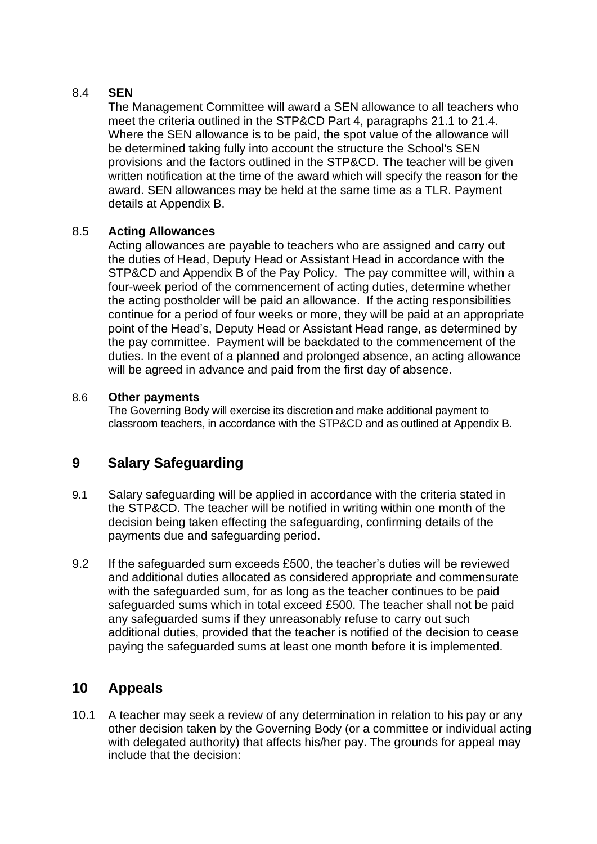## 8.4 **SEN**

The Management Committee will award a SEN allowance to all teachers who meet the criteria outlined in the STP&CD Part 4, paragraphs 21.1 to 21.4. Where the SEN allowance is to be paid, the spot value of the allowance will be determined taking fully into account the structure the School's SEN provisions and the factors outlined in the STP&CD. The teacher will be given written notification at the time of the award which will specify the reason for the award. SEN allowances may be held at the same time as a TLR. Payment details at Appendix B.

## 8.5 **Acting Allowances**

Acting allowances are payable to teachers who are assigned and carry out the duties of Head, Deputy Head or Assistant Head in accordance with the STP&CD and Appendix B of the Pay Policy. The pay committee will, within a four-week period of the commencement of acting duties, determine whether the acting postholder will be paid an allowance. If the acting responsibilities continue for a period of four weeks or more, they will be paid at an appropriate point of the Head's, Deputy Head or Assistant Head range, as determined by the pay committee. Payment will be backdated to the commencement of the duties. In the event of a planned and prolonged absence, an acting allowance will be agreed in advance and paid from the first day of absence.

## 8.6 **Other payments**

The Governing Body will exercise its discretion and make additional payment to classroom teachers, in accordance with the STP&CD and as outlined at Appendix B.

# **9 Salary Safeguarding**

- 9.1 Salary safeguarding will be applied in accordance with the criteria stated in the STP&CD. The teacher will be notified in writing within one month of the decision being taken effecting the safeguarding, confirming details of the payments due and safeguarding period.
- 9.2 If the safeguarded sum exceeds £500, the teacher's duties will be reviewed and additional duties allocated as considered appropriate and commensurate with the safeguarded sum, for as long as the teacher continues to be paid safeguarded sums which in total exceed £500. The teacher shall not be paid any safeguarded sums if they unreasonably refuse to carry out such additional duties, provided that the teacher is notified of the decision to cease paying the safeguarded sums at least one month before it is implemented.

# **10 Appeals**

10.1 A teacher may seek a review of any determination in relation to his pay or any other decision taken by the Governing Body (or a committee or individual acting with delegated authority) that affects his/her pay. The grounds for appeal may include that the decision: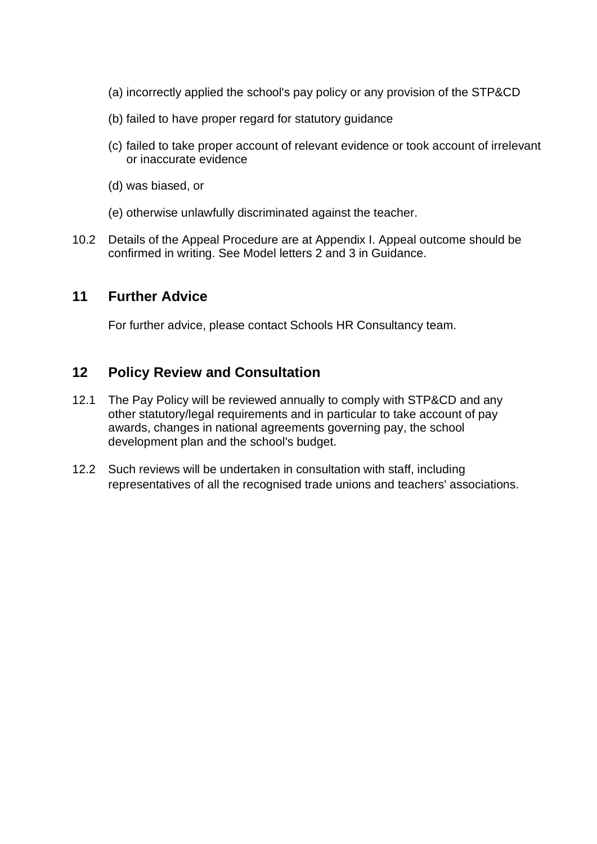- (a) incorrectly applied the school's pay policy or any provision of the STP&CD
- (b) failed to have proper regard for statutory guidance
- (c) failed to take proper account of relevant evidence or took account of irrelevant or inaccurate evidence
- (d) was biased, or
- (e) otherwise unlawfully discriminated against the teacher.
- 10.2 Details of the Appeal Procedure are at Appendix I. Appeal outcome should be confirmed in writing. See Model letters 2 and 3 in Guidance.

## **11 Further Advice**

For further advice, please contact Schools HR Consultancy team.

## **12 Policy Review and Consultation**

- 12.1 The Pay Policy will be reviewed annually to comply with STP&CD and any other statutory/legal requirements and in particular to take account of pay awards, changes in national agreements governing pay, the school development plan and the school's budget.
- 12.2 Such reviews will be undertaken in consultation with staff, including representatives of all the recognised trade unions and teachers' associations.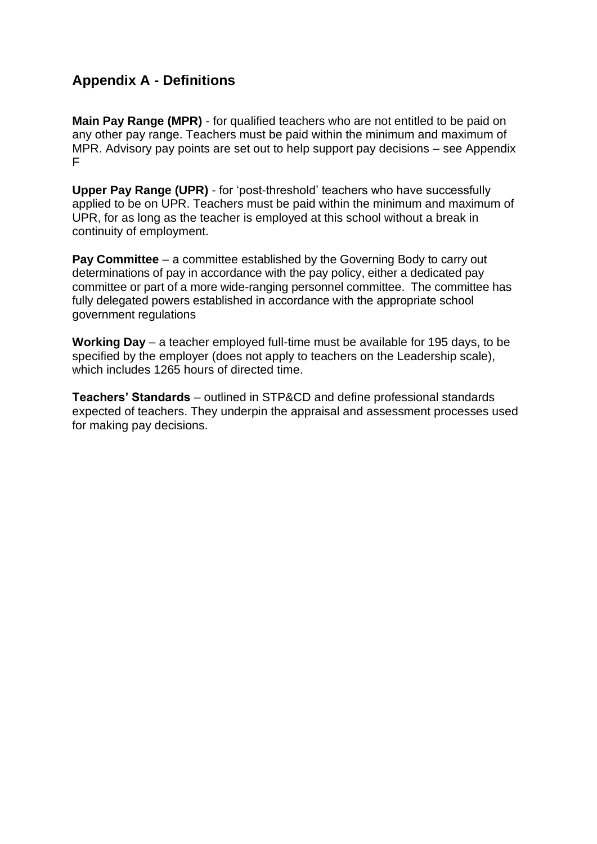# **Appendix A - Definitions**

**Main Pay Range (MPR)** - for qualified teachers who are not entitled to be paid on any other pay range. Teachers must be paid within the minimum and maximum of MPR. Advisory pay points are set out to help support pay decisions – see Appendix F

**Upper Pay Range (UPR)** - for 'post-threshold' teachers who have successfully applied to be on UPR. Teachers must be paid within the minimum and maximum of UPR, for as long as the teacher is employed at this school without a break in continuity of employment.

**Pay Committee** – a committee established by the Governing Body to carry out determinations of pay in accordance with the pay policy, either a dedicated pay committee or part of a more wide-ranging personnel committee. The committee has fully delegated powers established in accordance with the appropriate school government regulations

**Working Day** – a teacher employed full-time must be available for 195 days, to be specified by the employer (does not apply to teachers on the Leadership scale), which includes 1265 hours of directed time.

**Teachers' Standards** – outlined in STP&CD and define professional standards expected of teachers. They underpin the appraisal and assessment processes used for making pay decisions.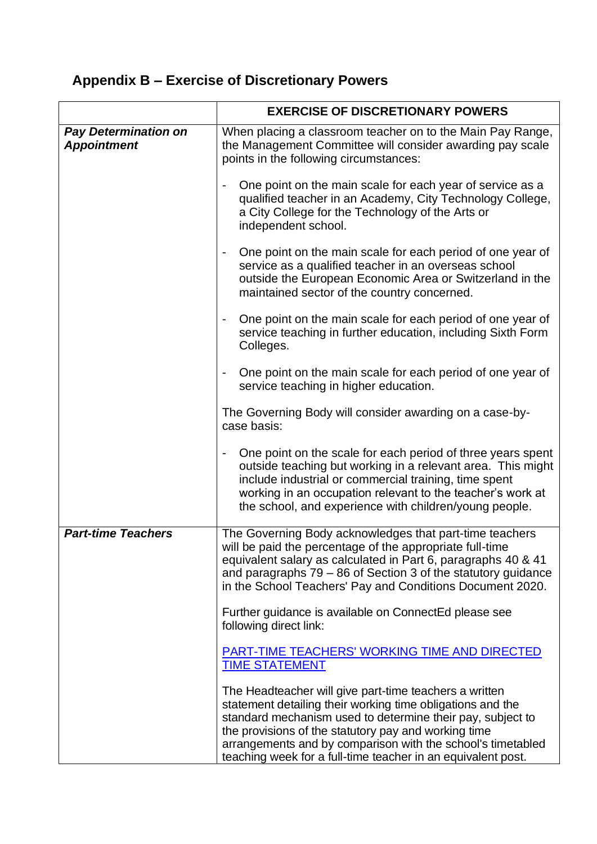# **Appendix B – Exercise of Discretionary Powers**

|                                                   | <b>EXERCISE OF DISCRETIONARY POWERS</b>                                                                                                                                                                                                                                                                                                                                   |  |
|---------------------------------------------------|---------------------------------------------------------------------------------------------------------------------------------------------------------------------------------------------------------------------------------------------------------------------------------------------------------------------------------------------------------------------------|--|
| <b>Pay Determination on</b><br><b>Appointment</b> | When placing a classroom teacher on to the Main Pay Range,<br>the Management Committee will consider awarding pay scale<br>points in the following circumstances:                                                                                                                                                                                                         |  |
|                                                   | One point on the main scale for each year of service as a<br>qualified teacher in an Academy, City Technology College,<br>a City College for the Technology of the Arts or<br>independent school.                                                                                                                                                                         |  |
|                                                   | One point on the main scale for each period of one year of<br>service as a qualified teacher in an overseas school<br>outside the European Economic Area or Switzerland in the<br>maintained sector of the country concerned.                                                                                                                                             |  |
|                                                   | One point on the main scale for each period of one year of<br>service teaching in further education, including Sixth Form<br>Colleges.                                                                                                                                                                                                                                    |  |
|                                                   | One point on the main scale for each period of one year of<br>service teaching in higher education.                                                                                                                                                                                                                                                                       |  |
|                                                   | The Governing Body will consider awarding on a case-by-<br>case basis:                                                                                                                                                                                                                                                                                                    |  |
|                                                   | One point on the scale for each period of three years spent<br>outside teaching but working in a relevant area. This might<br>include industrial or commercial training, time spent<br>working in an occupation relevant to the teacher's work at<br>the school, and experience with children/young people.                                                               |  |
| <b>Part-time Teachers</b>                         | The Governing Body acknowledges that part-time teachers<br>will be paid the percentage of the appropriate full-time<br>equivalent salary as calculated in Part 6, paragraphs 40 & 41<br>and paragraphs $79 - 86$ of Section 3 of the statutory guidance<br>in the School Teachers' Pay and Conditions Document 2020.                                                      |  |
|                                                   | Further guidance is available on ConnectEd please see<br>following direct link:                                                                                                                                                                                                                                                                                           |  |
|                                                   | PART-TIME TEACHERS' WORKING TIME AND DIRECTED<br><b>TIME STATEMENT</b>                                                                                                                                                                                                                                                                                                    |  |
|                                                   | The Headteacher will give part-time teachers a written<br>statement detailing their working time obligations and the<br>standard mechanism used to determine their pay, subject to<br>the provisions of the statutory pay and working time<br>arrangements and by comparison with the school's timetabled<br>teaching week for a full-time teacher in an equivalent post. |  |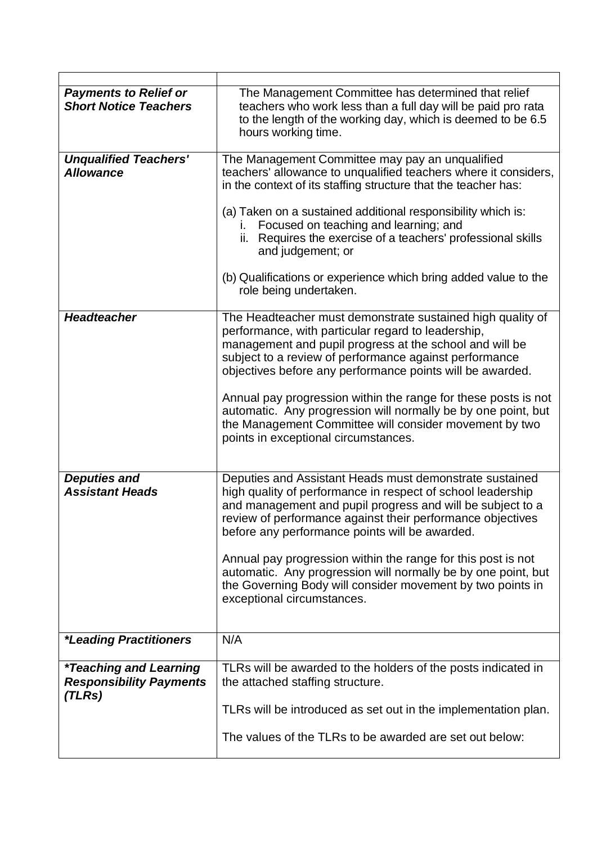| <b>Payments to Relief or</b><br><b>Short Notice Teachers</b>                     | The Management Committee has determined that relief<br>teachers who work less than a full day will be paid pro rata<br>to the length of the working day, which is deemed to be 6.5<br>hours working time.                                                                                            |
|----------------------------------------------------------------------------------|------------------------------------------------------------------------------------------------------------------------------------------------------------------------------------------------------------------------------------------------------------------------------------------------------|
| <b>Unqualified Teachers'</b><br><b>Allowance</b>                                 | The Management Committee may pay an unqualified<br>teachers' allowance to unqualified teachers where it considers,<br>in the context of its staffing structure that the teacher has:                                                                                                                 |
|                                                                                  | (a) Taken on a sustained additional responsibility which is:<br>i. Focused on teaching and learning; and<br>ii. Requires the exercise of a teachers' professional skills<br>and judgement; or                                                                                                        |
|                                                                                  | (b) Qualifications or experience which bring added value to the<br>role being undertaken.                                                                                                                                                                                                            |
| <b>Headteacher</b>                                                               | The Headteacher must demonstrate sustained high quality of<br>performance, with particular regard to leadership,<br>management and pupil progress at the school and will be<br>subject to a review of performance against performance<br>objectives before any performance points will be awarded.   |
|                                                                                  | Annual pay progression within the range for these posts is not<br>automatic. Any progression will normally be by one point, but<br>the Management Committee will consider movement by two<br>points in exceptional circumstances.                                                                    |
| <b>Deputies and</b><br><b>Assistant Heads</b>                                    | Deputies and Assistant Heads must demonstrate sustained<br>high quality of performance in respect of school leadership<br>and management and pupil progress and will be subject to a<br>review of performance against their performance objectives<br>before any performance points will be awarded. |
|                                                                                  | Annual pay progression within the range for this post is not<br>automatic. Any progression will normally be by one point, but<br>the Governing Body will consider movement by two points in<br>exceptional circumstances.                                                                            |
| <i><b>*Leading Practitioners</b></i>                                             | N/A                                                                                                                                                                                                                                                                                                  |
| <i><b>*Teaching and Learning</b></i><br><b>Responsibility Payments</b><br>(TLRs) | TLRs will be awarded to the holders of the posts indicated in<br>the attached staffing structure.                                                                                                                                                                                                    |
|                                                                                  | TLRs will be introduced as set out in the implementation plan.                                                                                                                                                                                                                                       |
|                                                                                  | The values of the TLRs to be awarded are set out below:                                                                                                                                                                                                                                              |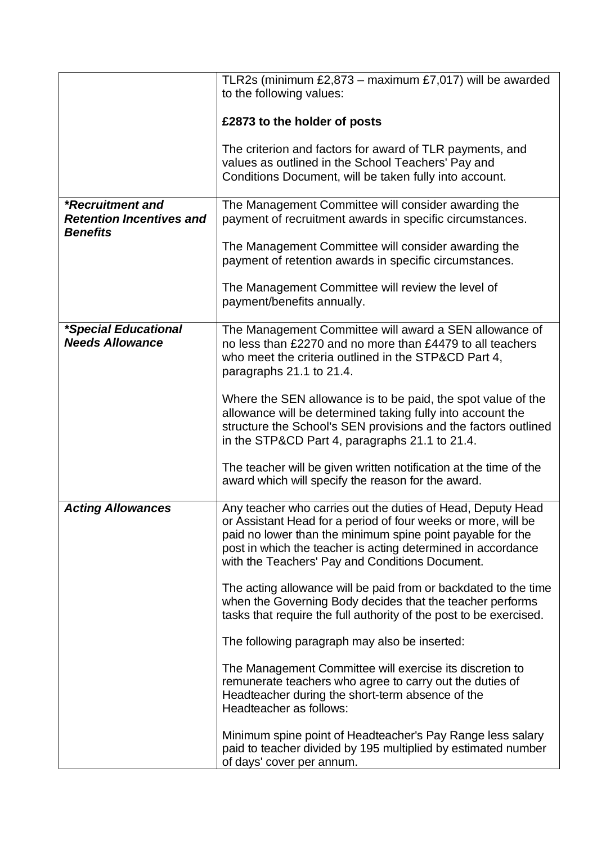|                                                       | TLR2s (minimum $£2,873 -$ maximum $£7,017$ ) will be awarded                                                                                                                                                                                                                                                  |  |
|-------------------------------------------------------|---------------------------------------------------------------------------------------------------------------------------------------------------------------------------------------------------------------------------------------------------------------------------------------------------------------|--|
|                                                       | to the following values:                                                                                                                                                                                                                                                                                      |  |
|                                                       | £2873 to the holder of posts                                                                                                                                                                                                                                                                                  |  |
|                                                       | The criterion and factors for award of TLR payments, and<br>values as outlined in the School Teachers' Pay and<br>Conditions Document, will be taken fully into account.                                                                                                                                      |  |
| *Recruitment and<br><b>Retention Incentives and</b>   | The Management Committee will consider awarding the<br>payment of recruitment awards in specific circumstances.                                                                                                                                                                                               |  |
| <b>Benefits</b>                                       | The Management Committee will consider awarding the<br>payment of retention awards in specific circumstances.                                                                                                                                                                                                 |  |
|                                                       | The Management Committee will review the level of<br>payment/benefits annually.                                                                                                                                                                                                                               |  |
| <i>*Special Educational</i><br><b>Needs Allowance</b> | The Management Committee will award a SEN allowance of<br>no less than £2270 and no more than £4479 to all teachers<br>who meet the criteria outlined in the STP&CD Part 4,<br>paragraphs 21.1 to 21.4.                                                                                                       |  |
|                                                       | Where the SEN allowance is to be paid, the spot value of the<br>allowance will be determined taking fully into account the<br>structure the School's SEN provisions and the factors outlined<br>in the STP&CD Part 4, paragraphs 21.1 to 21.4.                                                                |  |
|                                                       | The teacher will be given written notification at the time of the<br>award which will specify the reason for the award.                                                                                                                                                                                       |  |
| <b>Acting Allowances</b>                              | Any teacher who carries out the duties of Head, Deputy Head<br>or Assistant Head for a period of four weeks or more, will be<br>paid no lower than the minimum spine point payable for the<br>post in which the teacher is acting determined in accordance<br>with the Teachers' Pay and Conditions Document. |  |
|                                                       | The acting allowance will be paid from or backdated to the time<br>when the Governing Body decides that the teacher performs<br>tasks that require the full authority of the post to be exercised.                                                                                                            |  |
|                                                       | The following paragraph may also be inserted:                                                                                                                                                                                                                                                                 |  |
|                                                       | The Management Committee will exercise its discretion to<br>remunerate teachers who agree to carry out the duties of<br>Headteacher during the short-term absence of the<br>Headteacher as follows:                                                                                                           |  |
|                                                       | Minimum spine point of Headteacher's Pay Range less salary<br>paid to teacher divided by 195 multiplied by estimated number<br>of days' cover per annum.                                                                                                                                                      |  |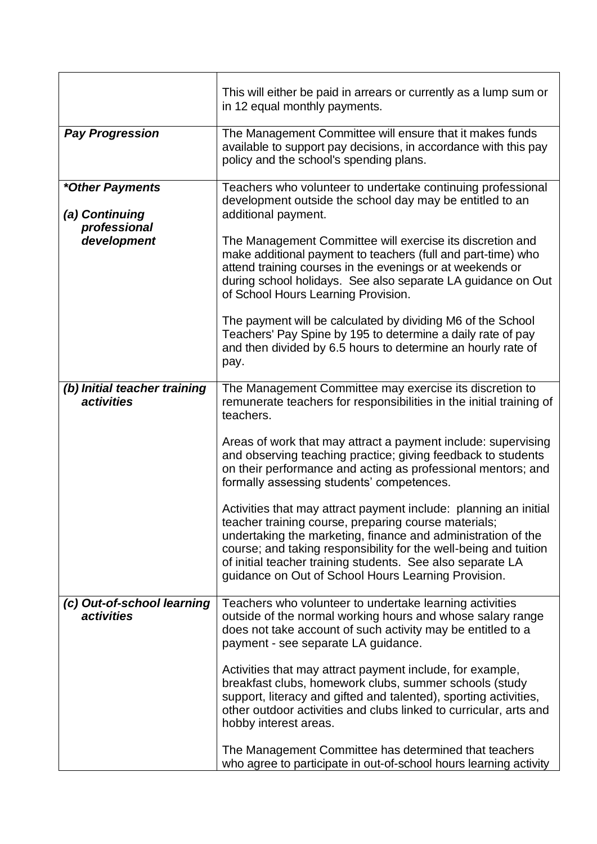|                                                                  | This will either be paid in arrears or currently as a lump sum or<br>in 12 equal monthly payments.                                                                                                                                                                                                                                                                                                                                                                                                                                                                                                                                                                                                                                                                             |
|------------------------------------------------------------------|--------------------------------------------------------------------------------------------------------------------------------------------------------------------------------------------------------------------------------------------------------------------------------------------------------------------------------------------------------------------------------------------------------------------------------------------------------------------------------------------------------------------------------------------------------------------------------------------------------------------------------------------------------------------------------------------------------------------------------------------------------------------------------|
| <b>Pay Progression</b>                                           | The Management Committee will ensure that it makes funds<br>available to support pay decisions, in accordance with this pay<br>policy and the school's spending plans.                                                                                                                                                                                                                                                                                                                                                                                                                                                                                                                                                                                                         |
| *Other Payments<br>(a) Continuing<br>professional<br>development | Teachers who volunteer to undertake continuing professional<br>development outside the school day may be entitled to an<br>additional payment.<br>The Management Committee will exercise its discretion and<br>make additional payment to teachers (full and part-time) who<br>attend training courses in the evenings or at weekends or<br>during school holidays. See also separate LA guidance on Out<br>of School Hours Learning Provision.<br>The payment will be calculated by dividing M6 of the School<br>Teachers' Pay Spine by 195 to determine a daily rate of pay<br>and then divided by 6.5 hours to determine an hourly rate of<br>pay.                                                                                                                          |
| (b) Initial teacher training<br>activities                       | The Management Committee may exercise its discretion to<br>remunerate teachers for responsibilities in the initial training of<br>teachers.<br>Areas of work that may attract a payment include: supervising<br>and observing teaching practice; giving feedback to students<br>on their performance and acting as professional mentors; and<br>formally assessing students' competences.<br>Activities that may attract payment include: planning an initial<br>teacher training course, preparing course materials;<br>undertaking the marketing, finance and administration of the<br>course; and taking responsibility for the well-being and tuition<br>of initial teacher training students. See also separate LA<br>guidance on Out of School Hours Learning Provision. |
| (c) Out-of-school learning<br><i>activities</i>                  | Teachers who volunteer to undertake learning activities<br>outside of the normal working hours and whose salary range<br>does not take account of such activity may be entitled to a<br>payment - see separate LA guidance.<br>Activities that may attract payment include, for example,<br>breakfast clubs, homework clubs, summer schools (study<br>support, literacy and gifted and talented), sporting activities,<br>other outdoor activities and clubs linked to curricular, arts and<br>hobby interest areas.<br>The Management Committee has determined that teachers<br>who agree to participate in out-of-school hours learning activity                                                                                                                             |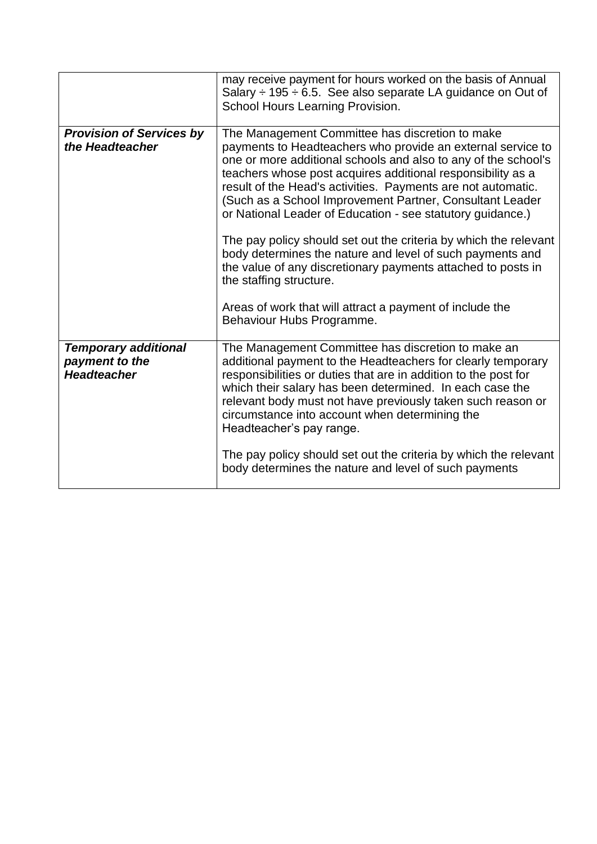|                                                                     | may receive payment for hours worked on the basis of Annual<br>Salary $\div$ 195 $\div$ 6.5. See also separate LA guidance on Out of<br>School Hours Learning Provision.                                                                                                                                                                                                                                                                                                                                                                                                                                                                                                                                                                                       |
|---------------------------------------------------------------------|----------------------------------------------------------------------------------------------------------------------------------------------------------------------------------------------------------------------------------------------------------------------------------------------------------------------------------------------------------------------------------------------------------------------------------------------------------------------------------------------------------------------------------------------------------------------------------------------------------------------------------------------------------------------------------------------------------------------------------------------------------------|
| <b>Provision of Services by</b><br>the Headteacher                  | The Management Committee has discretion to make<br>payments to Headteachers who provide an external service to<br>one or more additional schools and also to any of the school's<br>teachers whose post acquires additional responsibility as a<br>result of the Head's activities. Payments are not automatic.<br>(Such as a School Improvement Partner, Consultant Leader<br>or National Leader of Education - see statutory guidance.)<br>The pay policy should set out the criteria by which the relevant<br>body determines the nature and level of such payments and<br>the value of any discretionary payments attached to posts in<br>the staffing structure.<br>Areas of work that will attract a payment of include the<br>Behaviour Hubs Programme. |
| <b>Temporary additional</b><br>payment to the<br><b>Headteacher</b> | The Management Committee has discretion to make an<br>additional payment to the Headteachers for clearly temporary<br>responsibilities or duties that are in addition to the post for<br>which their salary has been determined. In each case the<br>relevant body must not have previously taken such reason or<br>circumstance into account when determining the<br>Headteacher's pay range.<br>The pay policy should set out the criteria by which the relevant<br>body determines the nature and level of such payments                                                                                                                                                                                                                                    |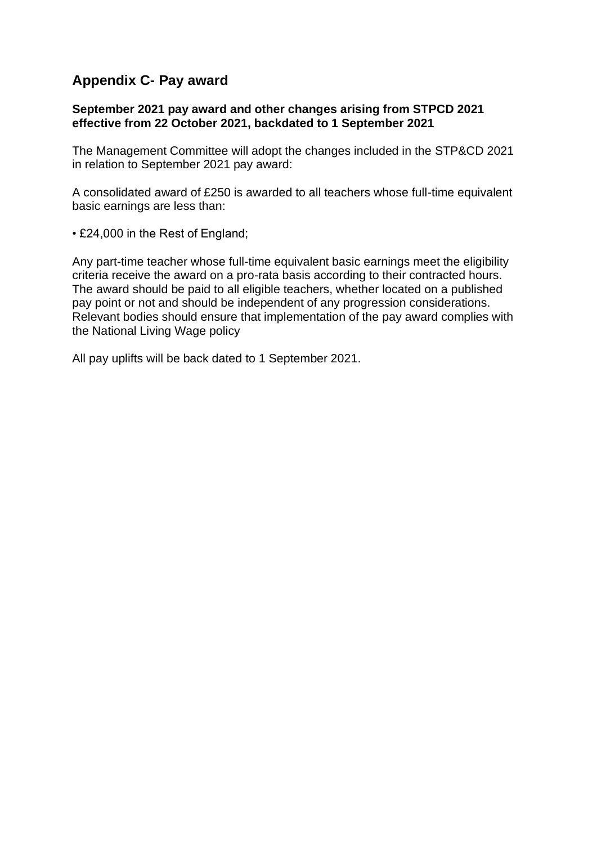# **Appendix C- Pay award**

## **September 2021 pay award and other changes arising from STPCD 2021 effective from 22 October 2021, backdated to 1 September 2021**

The Management Committee will adopt the changes included in the STP&CD 2021 in relation to September 2021 pay award:

A consolidated award of £250 is awarded to all teachers whose full-time equivalent basic earnings are less than:

• £24,000 in the Rest of England;

Any part-time teacher whose full-time equivalent basic earnings meet the eligibility criteria receive the award on a pro-rata basis according to their contracted hours. The award should be paid to all eligible teachers, whether located on a published pay point or not and should be independent of any progression considerations. Relevant bodies should ensure that implementation of the pay award complies with the National Living Wage policy

All pay uplifts will be back dated to 1 September 2021.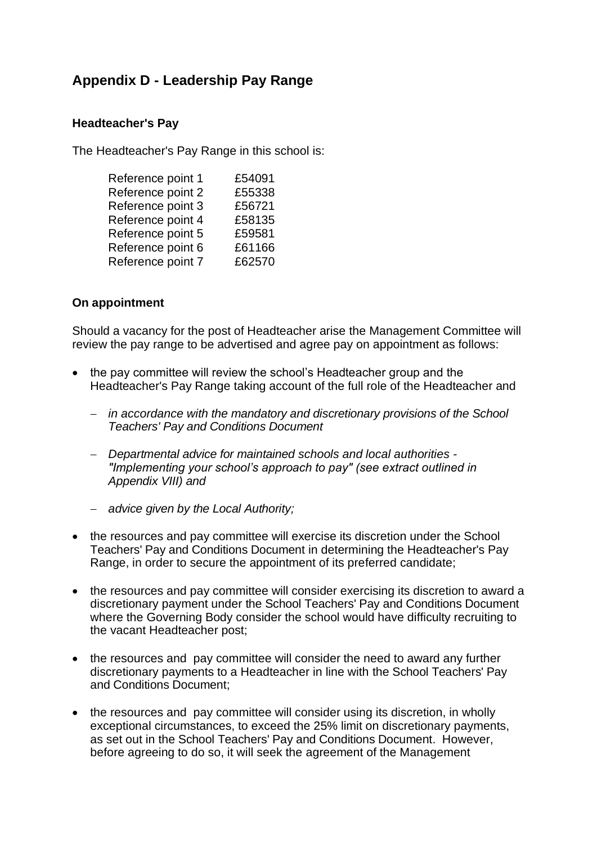# **Appendix D - Leadership Pay Range**

## **Headteacher's Pay**

The Headteacher's Pay Range in this school is:

| Reference point 1 | £54091 |
|-------------------|--------|
| Reference point 2 | £55338 |
| Reference point 3 | £56721 |
| Reference point 4 | £58135 |
| Reference point 5 | £59581 |
| Reference point 6 | £61166 |
| Reference point 7 | £62570 |
|                   |        |

## **On appointment**

Should a vacancy for the post of Headteacher arise the Management Committee will review the pay range to be advertised and agree pay on appointment as follows:

- the pay committee will review the school's Headteacher group and the Headteacher's Pay Range taking account of the full role of the Headteacher and
	- − *in accordance with the mandatory and discretionary provisions of the School Teachers' Pay and Conditions Document*
	- − *Departmental advice for maintained schools and local authorities - "Implementing your school's approach to pay" (see extract outlined in Appendix VIII) and*
	- − *advice given by the Local Authority;*
- the resources and pay committee will exercise its discretion under the School Teachers' Pay and Conditions Document in determining the Headteacher's Pay Range, in order to secure the appointment of its preferred candidate;
- the resources and pay committee will consider exercising its discretion to award a discretionary payment under the School Teachers' Pay and Conditions Document where the Governing Body consider the school would have difficulty recruiting to the vacant Headteacher post;
- the resources and pay committee will consider the need to award any further discretionary payments to a Headteacher in line with the School Teachers' Pay and Conditions Document;
- the resources and pay committee will consider using its discretion, in wholly exceptional circumstances, to exceed the 25% limit on discretionary payments, as set out in the School Teachers' Pay and Conditions Document. However, before agreeing to do so, it will seek the agreement of the Management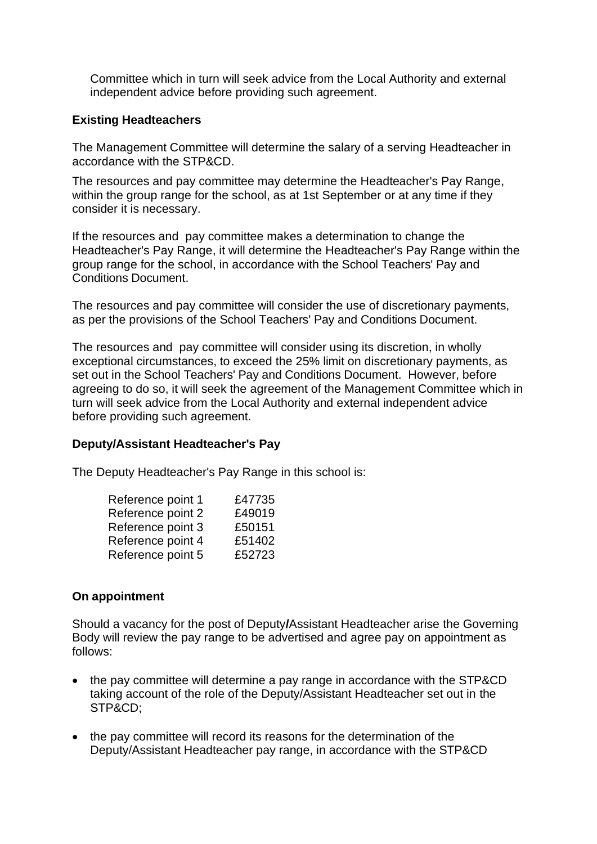Committee which in turn will seek advice from the Local Authority and external independent advice before providing such agreement.

## **Existing Headteachers**

The Management Committee will determine the salary of a serving Headteacher in accordance with the STP&CD.

The resources and pay committee may determine the Headteacher's Pay Range, within the group range for the school, as at 1st September or at any time if they consider it is necessary.

If the resources and pay committee makes a determination to change the Headteacher's Pay Range, it will determine the Headteacher's Pay Range within the group range for the school, in accordance with the School Teachers' Pay and Conditions Document.

The resources and pay committee will consider the use of discretionary payments, as per the provisions of the School Teachers' Pay and Conditions Document.

The resources and pay committee will consider using its discretion, in wholly exceptional circumstances, to exceed the 25% limit on discretionary payments, as set out in the School Teachers' Pay and Conditions Document. However, before agreeing to do so, it will seek the agreement of the Management Committee which in turn will seek advice from the Local Authority and external independent advice before providing such agreement.

#### **Deputy/Assistant Headteacher's Pay**

The Deputy Headteacher's Pay Range in this school is:

| Reference point 1 | £47735 |
|-------------------|--------|
| Reference point 2 | £49019 |
| Reference point 3 | £50151 |
| Reference point 4 | £51402 |
| Reference point 5 | £52723 |
|                   |        |

#### **On appointment**

Should a vacancy for the post of Deputy**/**Assistant Headteacher arise the Governing Body will review the pay range to be advertised and agree pay on appointment as follows:

- the pay committee will determine a pay range in accordance with the STP&CD taking account of the role of the Deputy/Assistant Headteacher set out in the STP&CD;
- the pay committee will record its reasons for the determination of the Deputy/Assistant Headteacher pay range, in accordance with the STP&CD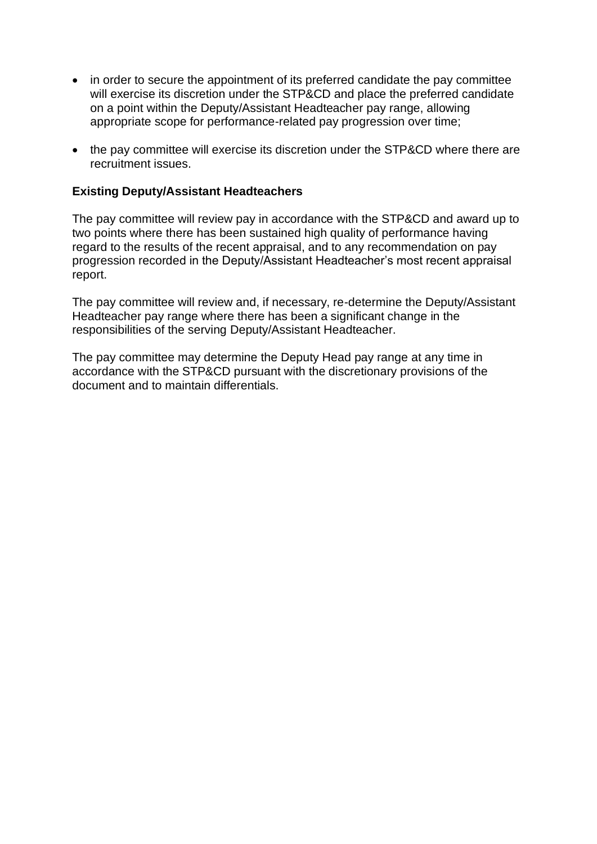- in order to secure the appointment of its preferred candidate the pay committee will exercise its discretion under the STP&CD and place the preferred candidate on a point within the Deputy/Assistant Headteacher pay range, allowing appropriate scope for performance-related pay progression over time;
- the pay committee will exercise its discretion under the STP&CD where there are recruitment issues.

## **Existing Deputy/Assistant Headteachers**

The pay committee will review pay in accordance with the STP&CD and award up to two points where there has been sustained high quality of performance having regard to the results of the recent appraisal, and to any recommendation on pay progression recorded in the Deputy/Assistant Headteacher's most recent appraisal report.

The pay committee will review and, if necessary, re-determine the Deputy/Assistant Headteacher pay range where there has been a significant change in the responsibilities of the serving Deputy/Assistant Headteacher.

The pay committee may determine the Deputy Head pay range at any time in accordance with the STP&CD pursuant with the discretionary provisions of the document and to maintain differentials.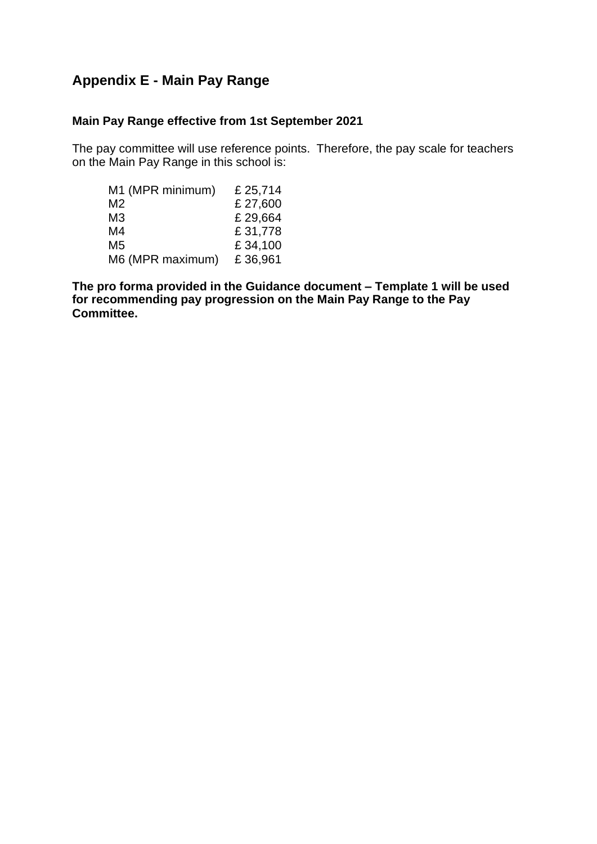# **Appendix E - Main Pay Range**

## **Main Pay Range effective from 1st September 2021**

The pay committee will use reference points. Therefore, the pay scale for teachers on the Main Pay Range in this school is:

| M1 (MPR minimum) | £ 25,714 |
|------------------|----------|
| M2               | £27,600  |
| MЗ               | £29,664  |
| M4               | £31,778  |
| M <sub>5</sub>   | £34,100  |
| M6 (MPR maximum) | £36,961  |

**The pro forma provided in the Guidance document – Template 1 will be used for recommending pay progression on the Main Pay Range to the Pay Committee.**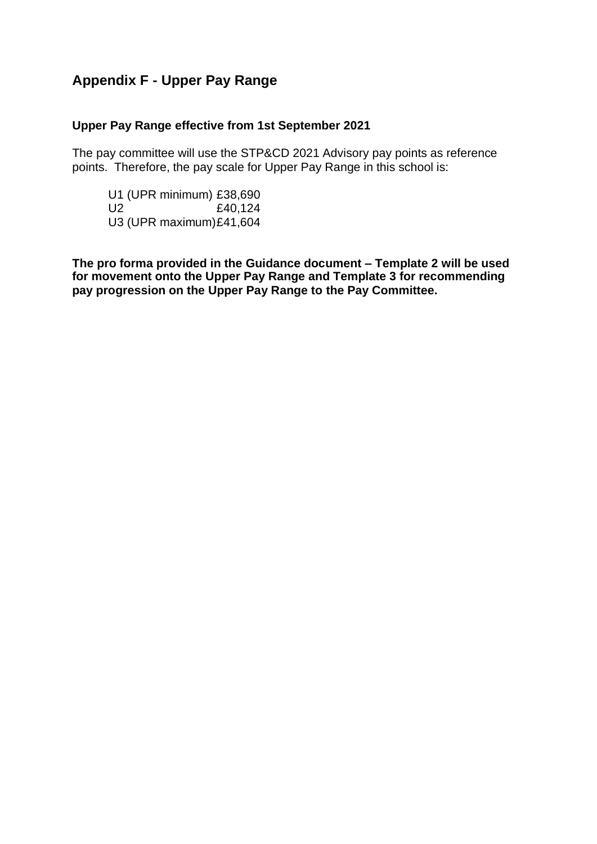# **Appendix F - Upper Pay Range**

## **Upper Pay Range effective from 1st September 2021**

The pay committee will use the STP&CD 2021 Advisory pay points as reference points. Therefore, the pay scale for Upper Pay Range in this school is:

U1 (UPR minimum) £38,690 U2 £40,124 U3 (UPR maximum)£41,604

**The pro forma provided in the Guidance document – Template 2 will be used for movement onto the Upper Pay Range and Template 3 for recommending pay progression on the Upper Pay Range to the Pay Committee.**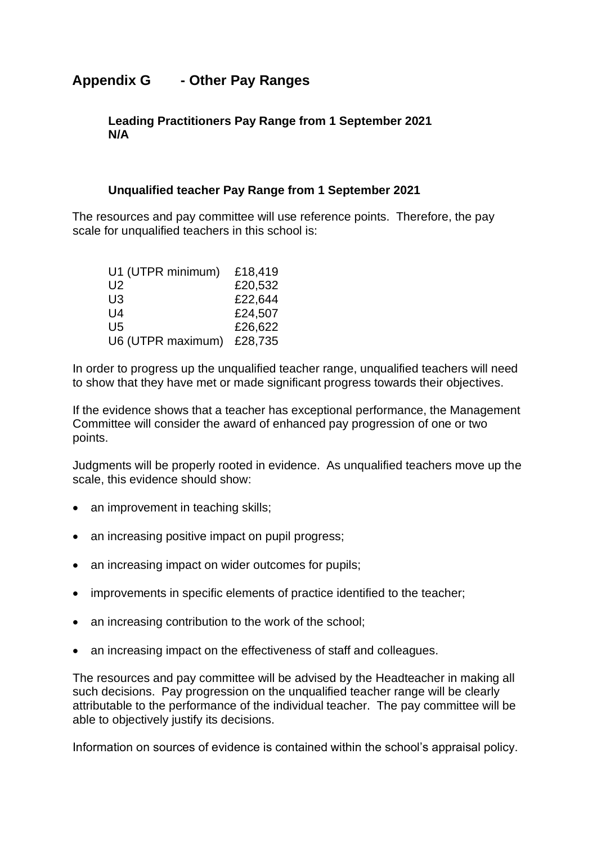# **Appendix G - Other Pay Ranges**

**Leading Practitioners Pay Range from 1 September 2021 N/A**

#### **Unqualified teacher Pay Range from 1 September 2021**

The resources and pay committee will use reference points. Therefore, the pay scale for unqualified teachers in this school is:

| U1 (UTPR minimum) | £18,419 |
|-------------------|---------|
| U <sub>2</sub>    | £20,532 |
| U <sub>3</sub>    | £22,644 |
| $U_4$             | £24,507 |
| U5                | £26,622 |
| U6 (UTPR maximum) | £28,735 |

In order to progress up the unqualified teacher range, unqualified teachers will need to show that they have met or made significant progress towards their objectives.

If the evidence shows that a teacher has exceptional performance, the Management Committee will consider the award of enhanced pay progression of one or two points.

Judgments will be properly rooted in evidence. As unqualified teachers move up the scale, this evidence should show:

- an improvement in teaching skills;
- an increasing positive impact on pupil progress;
- an increasing impact on wider outcomes for pupils;
- improvements in specific elements of practice identified to the teacher;
- an increasing contribution to the work of the school;
- an increasing impact on the effectiveness of staff and colleagues.

The resources and pay committee will be advised by the Headteacher in making all such decisions. Pay progression on the unqualified teacher range will be clearly attributable to the performance of the individual teacher. The pay committee will be able to objectively justify its decisions.

Information on sources of evidence is contained within the school's appraisal policy.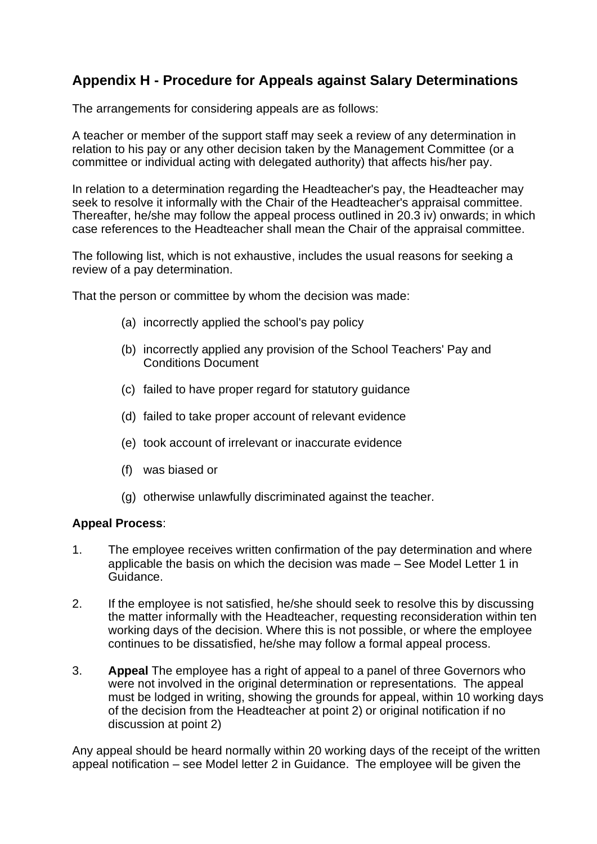# **Appendix H - Procedure for Appeals against Salary Determinations**

The arrangements for considering appeals are as follows:

A teacher or member of the support staff may seek a review of any determination in relation to his pay or any other decision taken by the Management Committee (or a committee or individual acting with delegated authority) that affects his/her pay.

In relation to a determination regarding the Headteacher's pay, the Headteacher may seek to resolve it informally with the Chair of the Headteacher's appraisal committee. Thereafter, he/she may follow the appeal process outlined in 20.3 iv) onwards; in which case references to the Headteacher shall mean the Chair of the appraisal committee.

The following list, which is not exhaustive, includes the usual reasons for seeking a review of a pay determination.

That the person or committee by whom the decision was made:

- (a) incorrectly applied the school's pay policy
- (b) incorrectly applied any provision of the School Teachers' Pay and Conditions Document
- (c) failed to have proper regard for statutory guidance
- (d) failed to take proper account of relevant evidence
- (e) took account of irrelevant or inaccurate evidence
- (f) was biased or
- (g) otherwise unlawfully discriminated against the teacher.

#### **Appeal Process**:

- 1. The employee receives written confirmation of the pay determination and where applicable the basis on which the decision was made – See Model Letter 1 in Guidance.
- 2. If the employee is not satisfied, he/she should seek to resolve this by discussing the matter informally with the Headteacher, requesting reconsideration within ten working days of the decision. Where this is not possible, or where the employee continues to be dissatisfied, he/she may follow a formal appeal process.
- 3. **Appeal** The employee has a right of appeal to a panel of three Governors who were not involved in the original determination or representations. The appeal must be lodged in writing, showing the grounds for appeal, within 10 working days of the decision from the Headteacher at point 2) or original notification if no discussion at point 2)

Any appeal should be heard normally within 20 working days of the receipt of the written appeal notification – see Model letter 2 in Guidance. The employee will be given the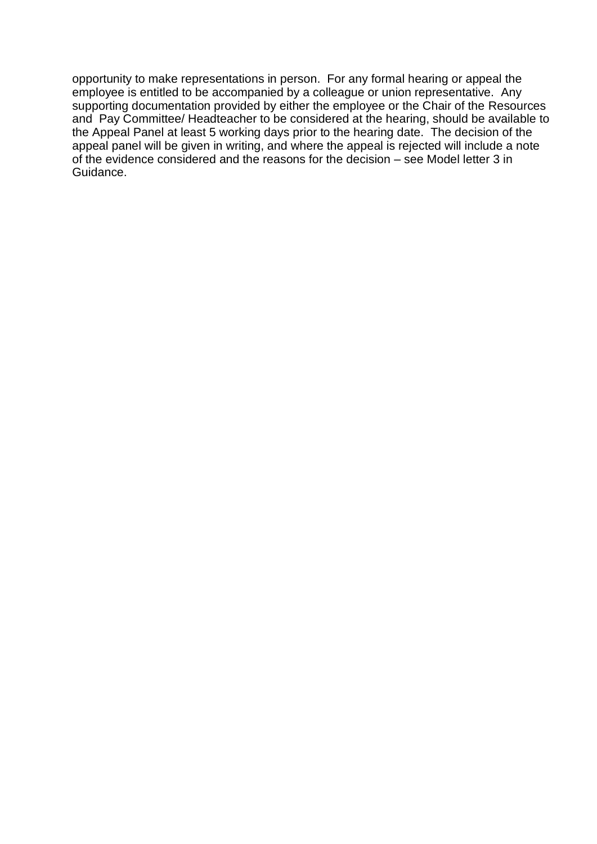opportunity to make representations in person. For any formal hearing or appeal the employee is entitled to be accompanied by a colleague or union representative. Any supporting documentation provided by either the employee or the Chair of the Resources and Pay Committee/ Headteacher to be considered at the hearing, should be available to the Appeal Panel at least 5 working days prior to the hearing date. The decision of the appeal panel will be given in writing, and where the appeal is rejected will include a note of the evidence considered and the reasons for the decision – see Model letter 3 in Guidance.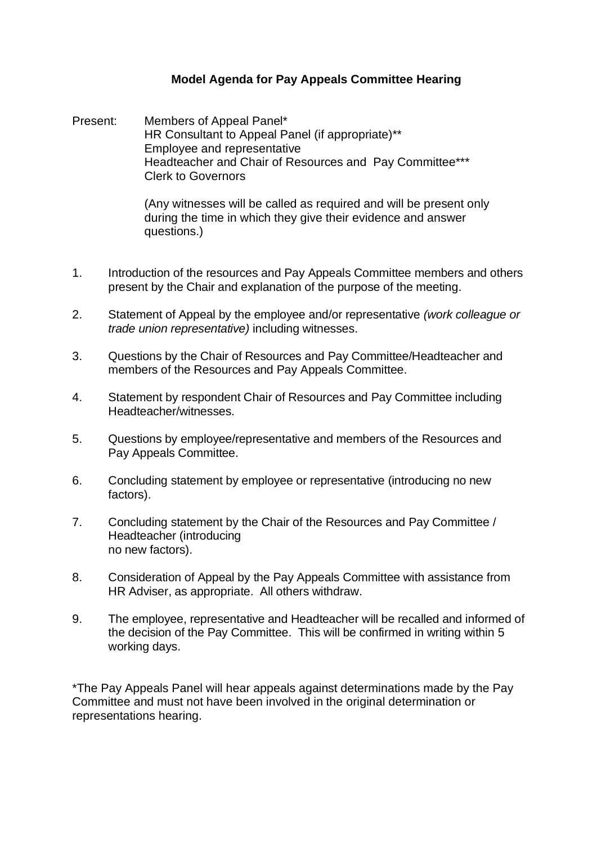## **Model Agenda for Pay Appeals Committee Hearing**

Present: Members of Appeal Panel\* HR Consultant to Appeal Panel (if appropriate)\*\* Employee and representative Headteacher and Chair of Resources and Pay Committee\*\*\* Clerk to Governors

> (Any witnesses will be called as required and will be present only during the time in which they give their evidence and answer questions.)

- 1. Introduction of the resources and Pay Appeals Committee members and others present by the Chair and explanation of the purpose of the meeting.
- 2. Statement of Appeal by the employee and/or representative *(work colleague or trade union representative)* including witnesses.
- 3. Questions by the Chair of Resources and Pay Committee/Headteacher and members of the Resources and Pay Appeals Committee.
- 4. Statement by respondent Chair of Resources and Pay Committee including Headteacher/witnesses.
- 5. Questions by employee/representative and members of the Resources and Pay Appeals Committee.
- 6. Concluding statement by employee or representative (introducing no new factors).
- 7. Concluding statement by the Chair of the Resources and Pay Committee / Headteacher (introducing no new factors).
- 8. Consideration of Appeal by the Pay Appeals Committee with assistance from HR Adviser, as appropriate. All others withdraw.
- 9. The employee, representative and Headteacher will be recalled and informed of the decision of the Pay Committee. This will be confirmed in writing within 5 working days.

\*The Pay Appeals Panel will hear appeals against determinations made by the Pay Committee and must not have been involved in the original determination or representations hearing.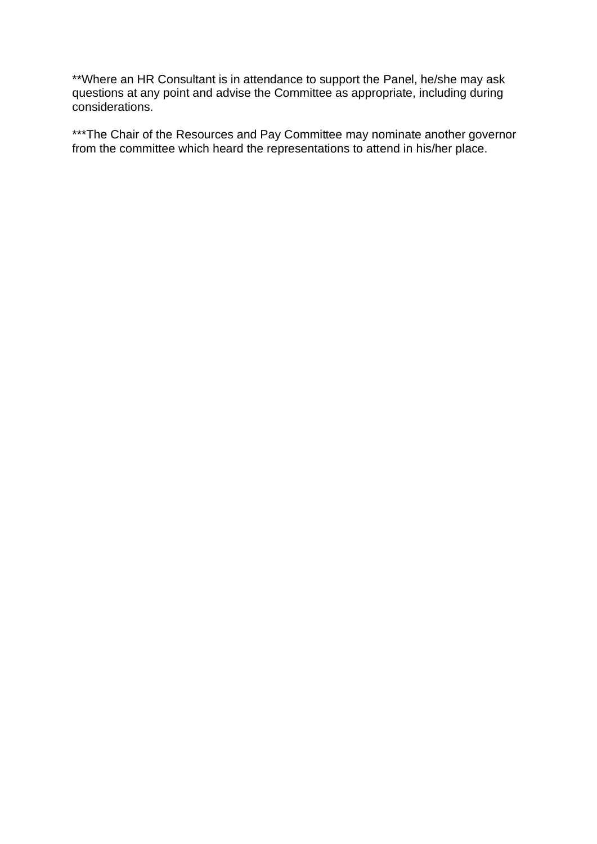\*\*Where an HR Consultant is in attendance to support the Panel, he/she may ask questions at any point and advise the Committee as appropriate, including during considerations.

\*\*\*The Chair of the Resources and Pay Committee may nominate another governor from the committee which heard the representations to attend in his/her place.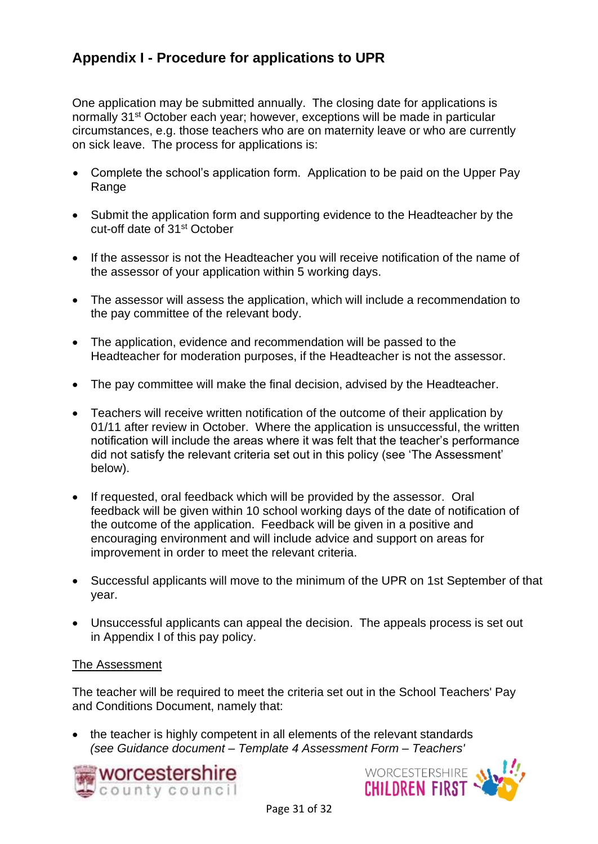# **Appendix I - Procedure for applications to UPR**

One application may be submitted annually. The closing date for applications is normally 31st October each year; however, exceptions will be made in particular circumstances, e.g. those teachers who are on maternity leave or who are currently on sick leave. The process for applications is:

- Complete the school's application form. Application to be paid on the Upper Pay Range
- Submit the application form and supporting evidence to the Headteacher by the cut-off date of 31st October
- If the assessor is not the Headteacher you will receive notification of the name of the assessor of your application within 5 working days.
- The assessor will assess the application, which will include a recommendation to the pay committee of the relevant body.
- The application, evidence and recommendation will be passed to the Headteacher for moderation purposes, if the Headteacher is not the assessor.
- The pay committee will make the final decision, advised by the Headteacher.
- Teachers will receive written notification of the outcome of their application by 01/11 after review in October. Where the application is unsuccessful, the written notification will include the areas where it was felt that the teacher's performance did not satisfy the relevant criteria set out in this policy (see 'The Assessment' below).
- If requested, oral feedback which will be provided by the assessor. Oral feedback will be given within 10 school working days of the date of notification of the outcome of the application. Feedback will be given in a positive and encouraging environment and will include advice and support on areas for improvement in order to meet the relevant criteria.
- Successful applicants will move to the minimum of the UPR on 1st September of that year.
- Unsuccessful applicants can appeal the decision. The appeals process is set out in Appendix I of this pay policy.

## The Assessment

The teacher will be required to meet the criteria set out in the School Teachers' Pay and Conditions Document, namely that:

• the teacher is highly competent in all elements of the relevant standards *(see Guidance document – Template 4 Assessment Form – Teachers'*